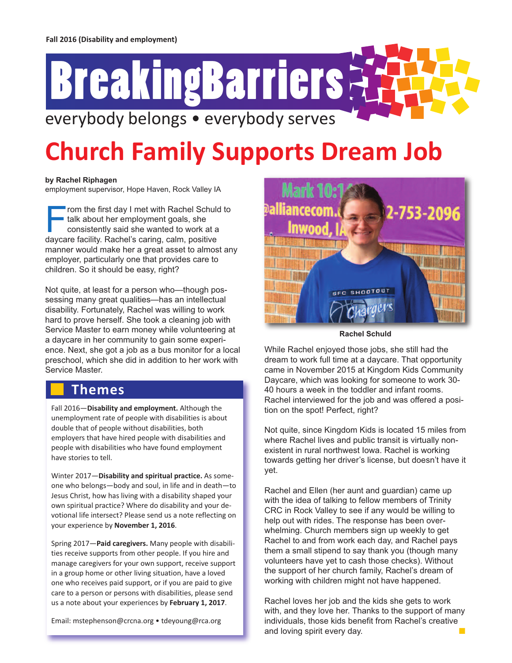# everybody belongs • everybody serves **BreakingBarriers**

## **Church Family Supports Dream Job**

#### **by Rachel Riphagen**

employment supervisor, Hope Haven, Rock Valley IA

From the first day <sup>I</sup> met with Rachel Schuld to talk about her employment goals, she consistently said she wanted to work at a daycare facility. Rachel's caring, calm, positive manner would make her a great asset to almost any employer, particularly one that provides care to children. So it should be easy, right?

Not quite, at least for a person who—though possessing many great qualities—has an intellectual disability. Fortunately, Rachel was willing to work hard to prove herself. She took a cleaning job with Service Master to earn money while volunteering at a daycare in her community to gain some experience. Next, she got a job as a bus monitor for a local preschool, which she did in addition to her work with Service Master.

#### **Themes**

Fall 2016—**Disability and employment.** Although the unemployment rate of people with disabilities is about double that of people without disabilities, both employers that have hired people with disabilities and people with disabilities who have found employment have stories to tell.

Winter 2017—**Disability and spiritual practice.** As someone who belongs—body and soul, in life and in death—to Jesus Christ, how has living with a disability shaped your own spiritual practice? Where do disability and your devotional life intersect? Please send us a note reflecting on your experience by **November 1, 2016**.

Spring 2017—**Paid caregivers.** Many people with disabilities receive supports from other people. If you hire and manage caregivers for your own support, receive support in a group home or other living situation, have a loved one who receives paid support, or if you are paid to give care to a person or persons with disabilities, please send us a note about your experiences by **February 1, 2017**.

Email: mstephenson@crcna.org • tdeyoung@rca.org



**Rachel Schuld**

While Rachel enjoyed those jobs, she still had the dream to work full time at a daycare. That opportunity came in November 2015 at Kingdom Kids Community Daycare, which was looking for someone to work 30- 40 hours a week in the toddler and infant rooms. Rachel interviewed for the job and was offered a position on the spot! Perfect, right?

Not quite, since Kingdom Kids is located 15 miles from where Rachel lives and public transit is virtually nonexistent in rural northwest Iowa. Rachel is working towards getting her driver's license, but doesn't have it yet.

Rachel and Ellen (her aunt and guardian) came up with the idea of talking to fellow members of Trinity CRC in Rock Valley to see if any would be willing to help out with rides. The response has been overwhelming. Church members sign up weekly to get Rachel to and from work each day, and Rachel pays them a small stipend to say thank you (though many volunteers have yet to cash those checks). Without the support of her church family, Rachel's dream of working with children might not have happened.

Rachel loves her job and the kids she gets to work with, and they love her. Thanks to the support of many individuals, those kids benefit from Rachel's creative and loving spirit every day. The matter of  $\blacksquare$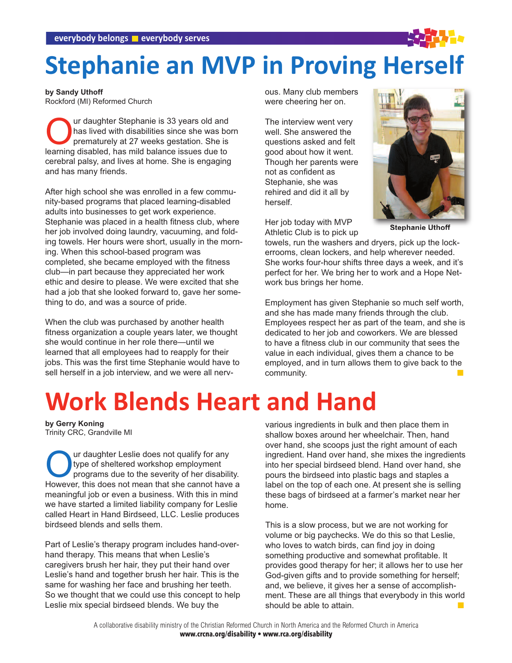### **Stephanie an MVP in Proving Herself**

**by Sandy Uthoff** Rockford (MI) Reformed Church

**Our daughter Stephanie is 33 years old and<br>has lived with disabilities since she was be<br>prematurely at 27 weeks gestation. She is<br>learning disabled, has mild balance issues due to** has lived with disabilities since she was born prematurely at 27 weeks gestation. She is learning disabled, has mild balance issues due to cerebral palsy, and lives at home. She is engaging and has many friends.

After high school she was enrolled in a few community-based programs that placed learning-disabled adults into businesses to get work experience. Stephanie was placed in a health fitness club, where her job involved doing laundry, vacuuming, and folding towels. Her hours were short, usually in the morning. When this school-based program was completed, she became employed with the fitness club—in part because they appreciated her work ethic and desire to please. We were excited that she had a job that she looked forward to, gave her something to do, and was a source of pride.

When the club was purchased by another health fitness organization a couple years later, we thought she would continue in her role there—until we learned that all employees had to reapply for their jobs. This was the first time Stephanie would have to sell herself in a job interview, and we were all nervous. Many club members were cheering her on.

The interview went very well. She answered the questions asked and felt good about how it went. Though her parents were not as confident as Stephanie, she was rehired and did it all by herself.

Her job today with MVP Athletic Club is to pick up



**Stephanie Uthoff**

towels, run the washers and dryers, pick up the lockerrooms, clean lockers, and help wherever needed. She works four-hour shifts three days a week, and it's perfect for her. We bring her to work and a Hope Network bus brings her home.

Employment has given Stephanie so much self worth, and she has made many friends through the club. Employees respect her as part of the team, and she is dedicated to her job and coworkers. We are blessed to have a fitness club in our community that sees the value in each individual, gives them a chance to be employed, and in turn allows them to give back to the community.

### **Work Blends Heart and Hand**

**by Gerry Koning** Trinity CRC, Grandville MI

Our daughter Leslie does not qualify for any<br>type of sheltered workshop employment<br>programs due to the severity of her disabil<br>However this does not mean that she cannot have type of sheltered workshop employment programs due to the severity of her disability. However, this does not mean that she cannot have a meaningful job or even a business. With this in mind we have started a limited liability company for Leslie called Heart in Hand Birdseed, LLC. Leslie produces birdseed blends and sells them.

Part of Leslie's therapy program includes hand-overhand therapy. This means that when Leslie's caregivers brush her hair, they put their hand over Leslie's hand and together brush her hair. This is the same for washing her face and brushing her teeth. So we thought that we could use this concept to help Leslie mix special birdseed blends. We buy the

various ingredients in bulk and then place them in shallow boxes around her wheelchair. Then, hand over hand, she scoops just the right amount of each ingredient. Hand over hand, she mixes the ingredients into her special birdseed blend. Hand over hand, she pours the birdseed into plastic bags and staples a label on the top of each one. At present she is selling these bags of birdseed at a farmer's market near her home.

This is a slow process, but we are not working for volume or big paychecks. We do this so that Leslie, who loves to watch birds, can find joy in doing something productive and somewhat profitable. It provides good therapy for her; it allows her to use her God-given gifts and to provide something for herself; and, we believe, it gives her a sense of accomplishment. These are all things that everybody in this world should be able to attain.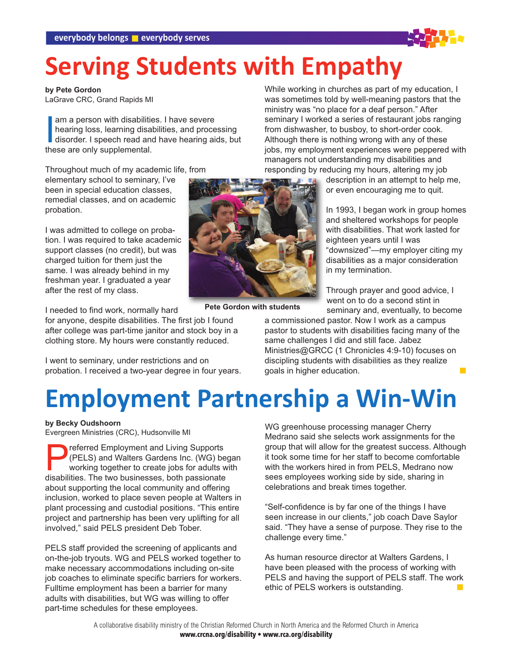### **Serving Students with Empathy**

**by Pete Gordon**

LaGrave CRC, Grand Rapids MI

am a person with disabilitien<br>hearing loss, learning disa<br>disorder. I speech read an<br>these are only supplemental. am a person with disabilities. I have severe hearing loss, learning disabilities, and processing disorder. I speech read and have hearing aids, but

Throughout much of my academic life, from elementary school to seminary, I've been in special education classes, remedial classes, and on academic probation.

I was admitted to college on probation. I was required to take academic support classes (no credit), but was charged tuition for them just the same. I was already behind in my freshman year. I graduated a year after the rest of my class.

I needed to find work, normally hard

for anyone, despite disabilities. The first job I found after college was part-time janitor and stock boy in a clothing store. My hours were constantly reduced.

I went to seminary, under restrictions and on probation. I received a two-year degree in four years. While working in churches as part of my education, I was sometimes told by well-meaning pastors that the ministry was "no place for a deaf person." After seminary I worked a series of restaurant jobs ranging from dishwasher, to busboy, to short-order cook. Although there is nothing wrong with any of these jobs, my employment experiences were peppered with managers not understanding my disabilities and responding by reducing my hours, altering my job

description in an attempt to help me, or even encouraging me to quit.

In 1993, I began work in group homes and sheltered workshops for people with disabilities. That work lasted for eighteen years until I was "downsized"—my employer citing my disabilities as a major consideration in my termination.

Through prayer and good advice, I went on to do a second stint in seminary and, eventually, to become

**Pete Gordon with students**

a commissioned pastor. Now I work as a campus pastor to students with disabilities facing many of the same challenges I did and still face. Jabez Ministries@GRCC (1 Chronicles 4:9-10) focuses on discipling students with disabilities as they realize goals in higher education.

### **Employment Partnership a Win-Win**

**by Becky Oudshoorn**

Evergreen Ministries (CRC), Hudsonville MI

**Preferred Employment and Living Supports (PELS) and Walters Gardens Inc. (WG) be working together to create jobs for adults in disabilities. The two businesses both passionate** (PELS) and Walters Gardens Inc. (WG) began working together to create jobs for adults with disabilities. The two businesses, both passionate about supporting the local community and offering inclusion, worked to place seven people at Walters in plant processing and custodial positions. "This entire project and partnership has been very uplifting for all involved," said PELS president Deb Tober.

PELS staff provided the screening of applicants and on-the-job tryouts. WG and PELS worked together to make necessary accommodations including on-site job coaches to eliminate specific barriers for workers. Fulltime employment has been a barrier for many adults with disabilities, but WG was willing to offer part-time schedules for these employees.

WG greenhouse processing manager Cherry Medrano said she selects work assignments for the group that will allow for the greatest success. Although it took some time for her staff to become comfortable with the workers hired in from PELS. Medrano now sees employees working side by side, sharing in celebrations and break times together.

"Self-confidence is by far one of the things I have seen increase in our clients," job coach Dave Saylor said. "They have a sense of purpose. They rise to the challenge every time."

As human resource director at Walters Gardens, I have been pleased with the process of working with PELS and having the support of PELS staff. The work ethic of PELS workers is outstanding.